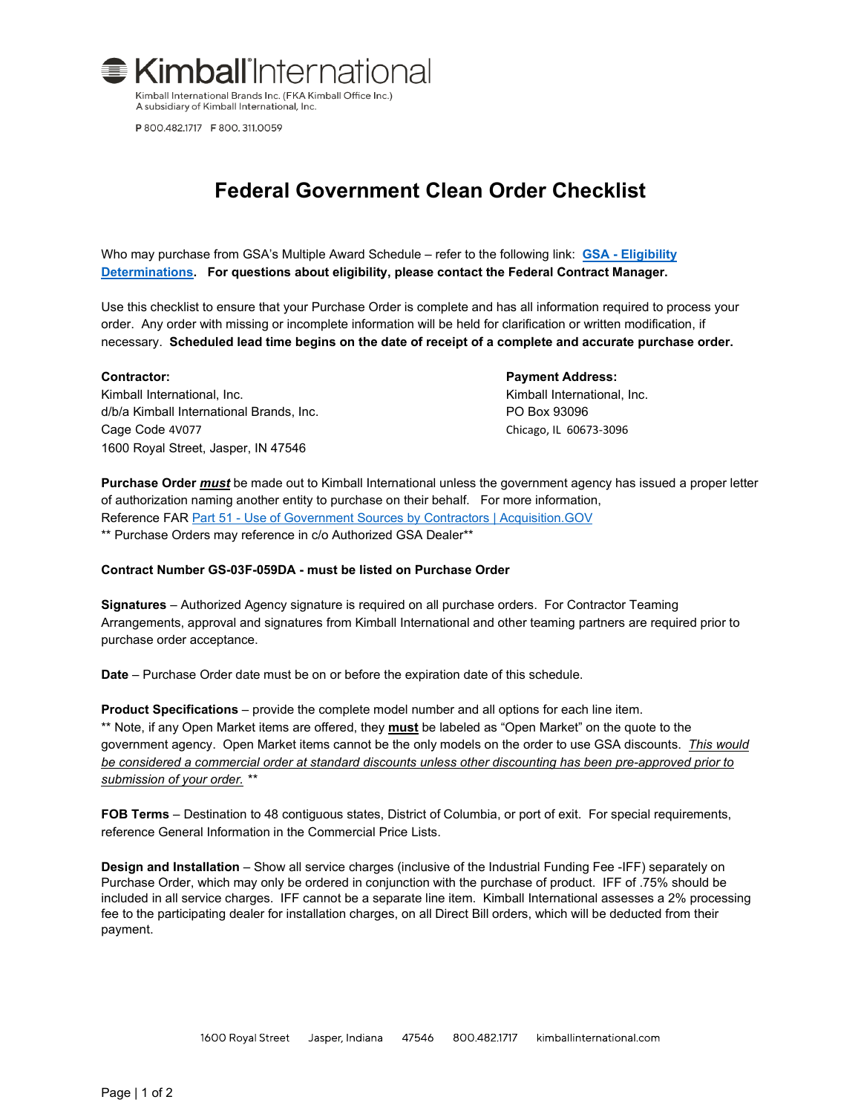

P 800.482.1717 F 800.311.0059

# **Federal Government Clean Order Checklist**

Who may purchase from GSA's Multiple Award Schedule – refer to the following link: **GSA - [Eligibility](https://www.gsa.gov/policy-regulations/policy/acquisition-policy/eligibility-determinations)  [Determinations.](https://www.gsa.gov/policy-regulations/policy/acquisition-policy/eligibility-determinations) For questions about eligibility, please contact the Federal Contract Manager.**

Use this checklist to ensure that your Purchase Order is complete and has all information required to process your order. Any order with missing or incomplete information will be held for clarification or written modification, if necessary. **Scheduled lead time begins on the date of receipt of a complete and accurate purchase order.**

Kimball International, Inc. The Contract of the Contract of the Contract Contract Contract Inc. d/b/a Kimball International Brands, Inc. PO Box 93096 Cage Code 4V077 Chicago, IL 60673-3096 1600 Royal Street, Jasper, IN 47546

### **Contractor: Payment Address:**

**Purchase Order** *must* be made out to Kimball International unless the government agency has issued a proper letter of authorization naming another entity to purchase on their behalf. For more information, Reference FAR Part 51 - [Use of Government Sources by Contractors | Acquisition.GOV](https://www.acquisition.gov/far/part-51) \*\* Purchase Orders may reference in c/o Authorized GSA Dealer\*\*

# **Contract Number GS-03F-059DA - must be listed on Purchase Order**

**Signatures** – Authorized Agency signature is required on all purchase orders. For Contractor Teaming Arrangements, approval and signatures from Kimball International and other teaming partners are required prior to purchase order acceptance.

**Date** – Purchase Order date must be on or before the expiration date of this schedule.

**Product Specifications** – provide the complete model number and all options for each line item. \*\* Note, if any Open Market items are offered, they **must** be labeled as "Open Market" on the quote to the government agency. Open Market items cannot be the only models on the order to use GSA discounts. *This would be considered a commercial order at standard discounts unless other discounting has been pre-approved prior to submission of your order. \*\**

**FOB Terms** – Destination to 48 contiguous states, District of Columbia, or port of exit. For special requirements, reference General Information in the Commercial Price Lists.

**Design and Installation** – Show all service charges (inclusive of the Industrial Funding Fee -IFF) separately on Purchase Order, which may only be ordered in conjunction with the purchase of product. IFF of .75% should be included in all service charges. IFF cannot be a separate line item. Kimball International assesses a 2% processing fee to the participating dealer for installation charges, on all Direct Bill orders, which will be deducted from their payment.